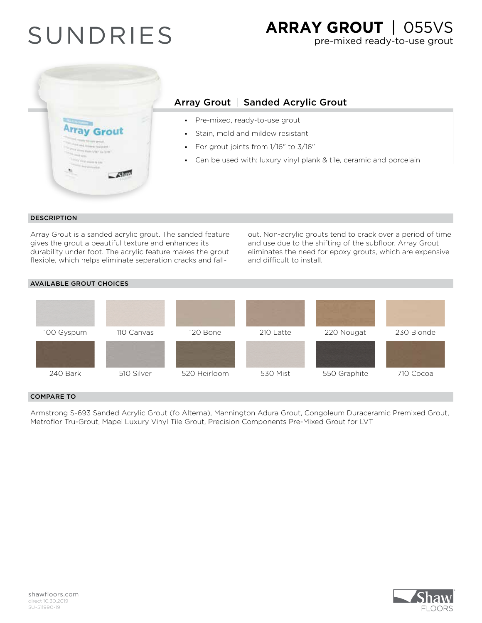# SUNDRIES



## Array Grout | Sanded Acrylic Grout

- Pre-mixed, ready-to-use grout
- § Stain, mold and mildew resistant
- § For grout joints from 1/16" to 3/16"
- Can be used with: luxury vinyl plank & tile, ceramic and porcelain

#### **DESCRIPTION**

Array Grout is a sanded acrylic grout. The sanded feature gives the grout a beautiful texture and enhances its durability under foot. The acrylic feature makes the grout flexible, which helps eliminate separation cracks and fallout. Non-acrylic grouts tend to crack over a period of time and use due to the shifting of the subfloor. Array Grout eliminates the need for epoxy grouts, which are expensive and difficult to install.

### AVAILABLE GROUT CHOICES



#### COMPARE TO

Armstrong S-693 Sanded Acrylic Grout (fo Alterna), Mannington Adura Grout, Congoleum Duraceramic Premixed Grout, Metroflor Tru-Grout, Mapei Luxury Vinyl Tile Grout, Precision Components Pre-Mixed Grout for LVT